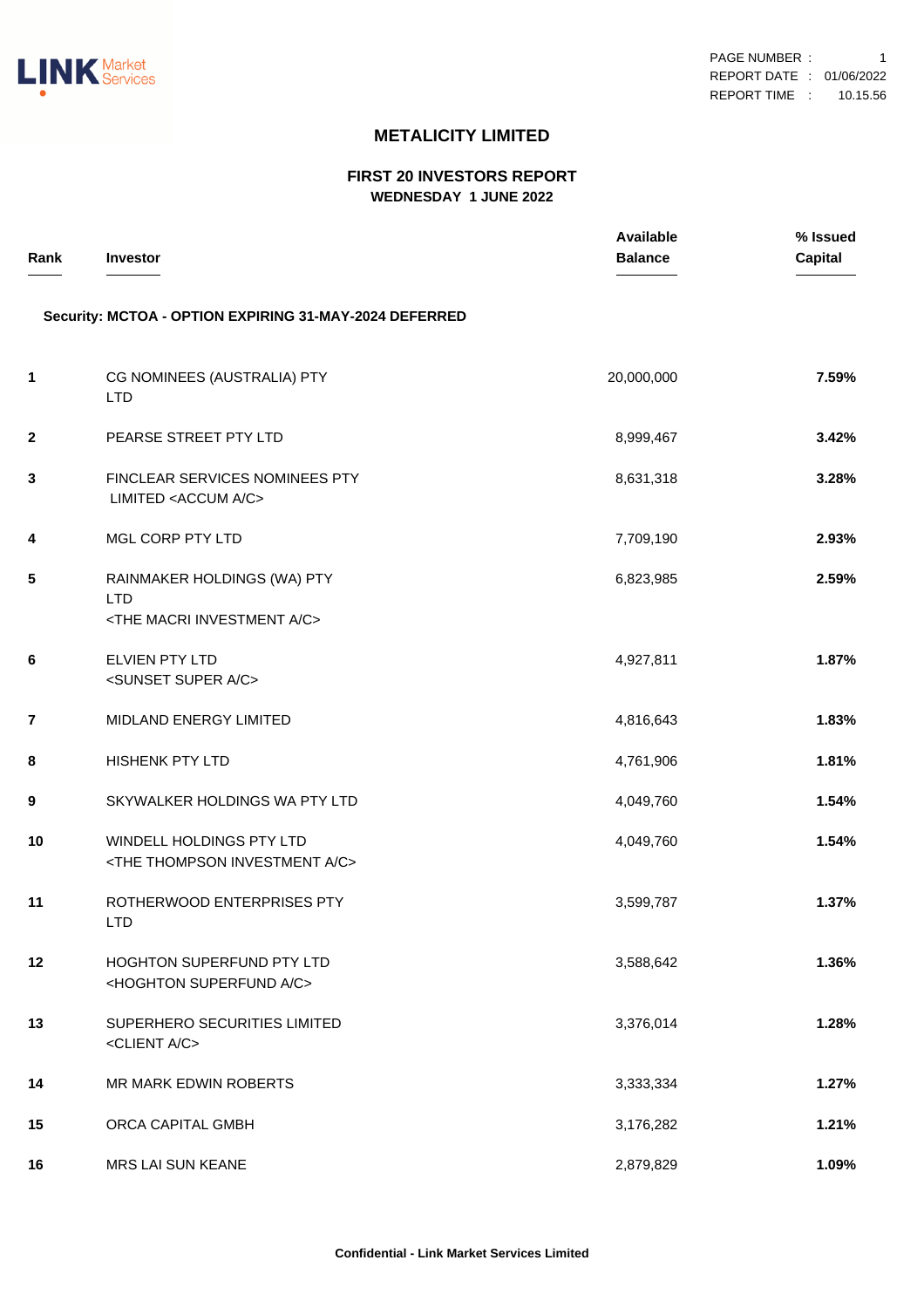

## **METALICITY LIMITED**

## **FIRST 20 INVESTORS REPORT WEDNESDAY 1 JUNE 2022**

| Rank         | Investor                                                                                  | Available<br><b>Balance</b> | % Issued<br><b>Capital</b> |
|--------------|-------------------------------------------------------------------------------------------|-----------------------------|----------------------------|
|              | Security: MCTOA - OPTION EXPIRING 31-MAY-2024 DEFERRED                                    |                             |                            |
| 1            | CG NOMINEES (AUSTRALIA) PTY<br><b>LTD</b>                                                 | 20,000,000                  | 7.59%                      |
| $\mathbf{2}$ | PEARSE STREET PTY LTD                                                                     | 8,999,467                   | 3.42%                      |
| 3            | FINCLEAR SERVICES NOMINEES PTY<br>LIMITED <accum a="" c=""></accum>                       | 8,631,318                   | 3.28%                      |
| 4            | MGL CORP PTY LTD                                                                          | 7,709,190                   | 2.93%                      |
| 5            | RAINMAKER HOLDINGS (WA) PTY<br><b>LTD</b><br><the a="" c="" investment="" macri=""></the> | 6,823,985                   | 2.59%                      |
| 6            | ELVIEN PTY LTD<br><sunset a="" c="" super=""></sunset>                                    | 4,927,811                   | 1.87%                      |
| 7            | MIDLAND ENERGY LIMITED                                                                    | 4,816,643                   | 1.83%                      |
| 8            | <b>HISHENK PTY LTD</b>                                                                    | 4,761,906                   | 1.81%                      |
| 9            | SKYWALKER HOLDINGS WA PTY LTD                                                             | 4,049,760                   | 1.54%                      |
| 10           | WINDELL HOLDINGS PTY LTD<br><the a="" c="" investment="" thompson=""></the>               | 4,049,760                   | 1.54%                      |
| 11           | ROTHERWOOD ENTERPRISES PTY<br><b>LTD</b>                                                  | 3,599,787                   | 1.37%                      |
| $12 \,$      | HOGHTON SUPERFUND PTY LTD<br><hoghton a="" c="" superfund=""></hoghton>                   | 3,588,642                   | 1.36%                      |
| 13           | SUPERHERO SECURITIES LIMITED<br><client a="" c=""></client>                               | 3,376,014                   | 1.28%                      |
| 14           | MR MARK EDWIN ROBERTS                                                                     | 3,333,334                   | 1.27%                      |
| 15           | ORCA CAPITAL GMBH                                                                         | 3,176,282                   | 1.21%                      |
| 16           | MRS LAI SUN KEANE                                                                         | 2,879,829                   | 1.09%                      |